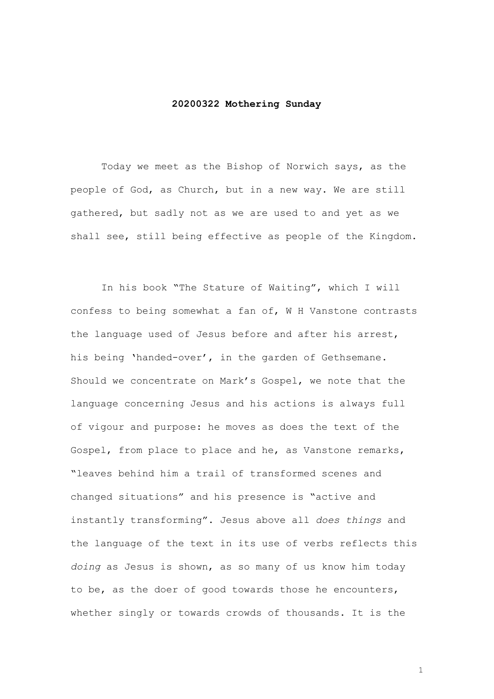## **20200322 Mothering Sunday**

Today we meet as the Bishop of Norwich says, as the people of God, as Church, but in a new way. We are still gathered, but sadly not as we are used to and yet as we shall see, still being effective as people of the Kingdom.

In his book "The Stature of Waiting", which I will confess to being somewhat a fan of, W H Vanstone contrasts the language used of Jesus before and after his arrest, his being 'handed-over', in the garden of Gethsemane. Should we concentrate on Mark's Gospel, we note that the language concerning Jesus and his actions is always full of vigour and purpose: he moves as does the text of the Gospel, from place to place and he, as Vanstone remarks, "leaves behind him a trail of transformed scenes and changed situations" and his presence is "active and instantly transforming". Jesus above all *does things* and the language of the text in its use of verbs reflects this *doing* as Jesus is shown, as so many of us know him today to be, as the doer of good towards those he encounters, whether singly or towards crowds of thousands. It is the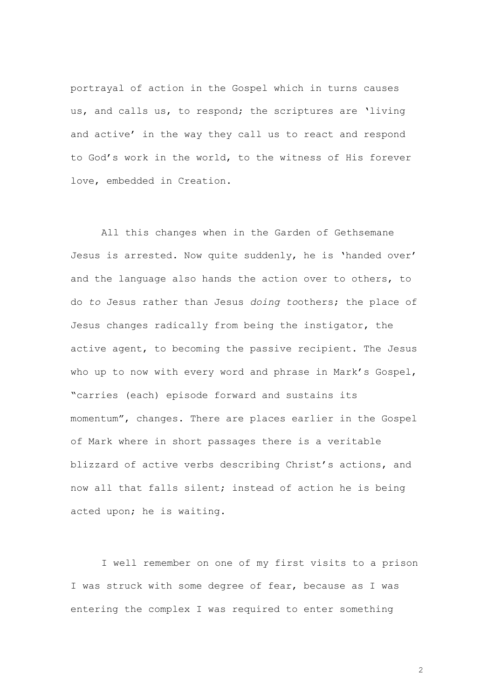portrayal of action in the Gospel which in turns causes us, and calls us, to respond; the scriptures are 'living and active' in the way they call us to react and respond to God's work in the world, to the witness of His forever love, embedded in Creation.

All this changes when in the Garden of Gethsemane Jesus is arrested. Now quite suddenly, he is 'handed over' and the language also hands the action over to others, to do *to* Jesus rather than Jesus *doing to*others; the place of Jesus changes radically from being the instigator, the active agent, to becoming the passive recipient. The Jesus who up to now with every word and phrase in Mark's Gospel, "carries (each) episode forward and sustains its momentum", changes. There are places earlier in the Gospel of Mark where in short passages there is a veritable blizzard of active verbs describing Christ's actions, and now all that falls silent; instead of action he is being acted upon; he is waiting.

I well remember on one of my first visits to a prison I was struck with some degree of fear, because as I was entering the complex I was required to enter something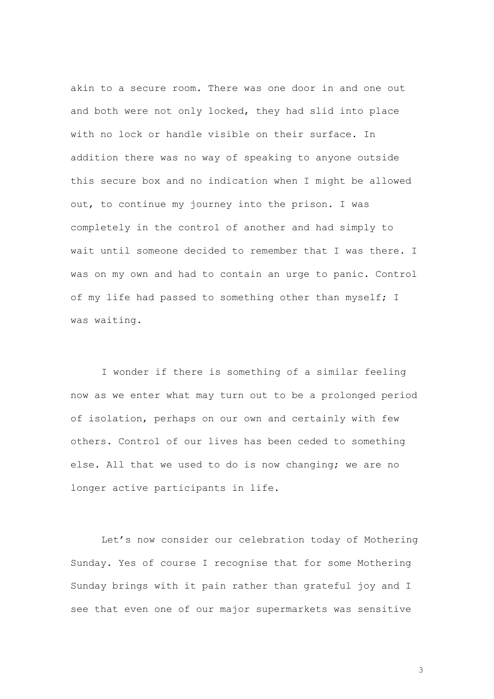akin to a secure room. There was one door in and one out and both were not only locked, they had slid into place with no lock or handle visible on their surface. In addition there was no way of speaking to anyone outside this secure box and no indication when I might be allowed out, to continue my journey into the prison. I was completely in the control of another and had simply to wait until someone decided to remember that I was there. I was on my own and had to contain an urge to panic. Control of my life had passed to something other than myself; I was waiting.

I wonder if there is something of a similar feeling now as we enter what may turn out to be a prolonged period of isolation, perhaps on our own and certainly with few others. Control of our lives has been ceded to something else. All that we used to do is now changing; we are no longer active participants in life.

Let's now consider our celebration today of Mothering Sunday. Yes of course I recognise that for some Mothering Sunday brings with it pain rather than grateful joy and I see that even one of our major supermarkets was sensitive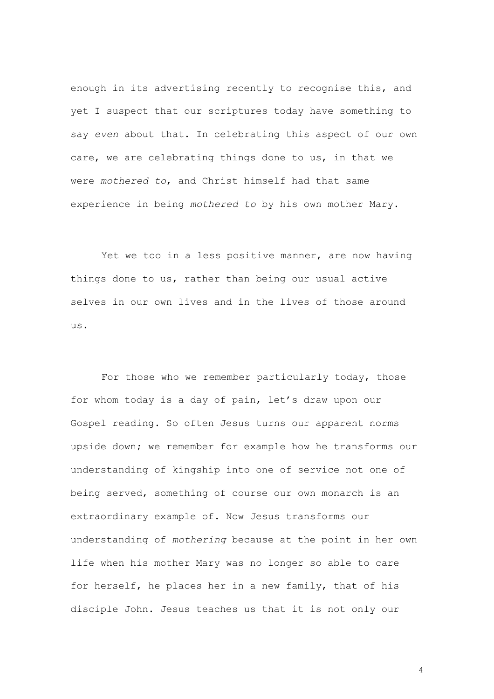enough in its advertising recently to recognise this, and yet I suspect that our scriptures today have something to say *even* about that. In celebrating this aspect of our own care, we are celebrating things done to us, in that we were *mothered to*, and Christ himself had that same experience in being *mothered to* by his own mother Mary.

Yet we too in a less positive manner, are now having things done to us, rather than being our usual active selves in our own lives and in the lives of those around us.

For those who we remember particularly today, those for whom today is a day of pain, let's draw upon our Gospel reading. So often Jesus turns our apparent norms upside down; we remember for example how he transforms our understanding of kingship into one of service not one of being served, something of course our own monarch is an extraordinary example of. Now Jesus transforms our understanding of *mothering* because at the point in her own life when his mother Mary was no longer so able to care for herself, he places her in a new family, that of his disciple John. Jesus teaches us that it is not only our

 $\Delta$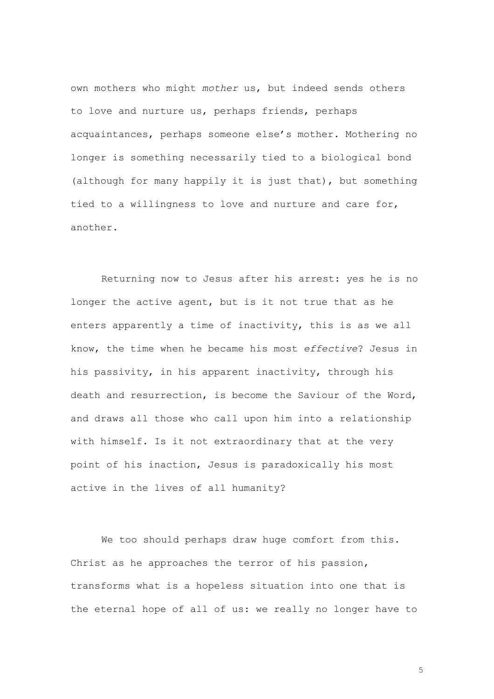own mothers who might *mother* us, but indeed sends others to love and nurture us, perhaps friends, perhaps acquaintances, perhaps someone else's mother. Mothering no longer is something necessarily tied to a biological bond (although for many happily it is just that), but something tied to a willingness to love and nurture and care for, another.

Returning now to Jesus after his arrest: yes he is no longer the active agent, but is it not true that as he enters apparently a time of inactivity, this is as we all know, the time when he became his most *effective*? Jesus in his passivity, in his apparent inactivity, through his death and resurrection, is become the Saviour of the Word, and draws all those who call upon him into a relationship with himself. Is it not extraordinary that at the very point of his inaction, Jesus is paradoxically his most active in the lives of all humanity?

We too should perhaps draw huge comfort from this. Christ as he approaches the terror of his passion, transforms what is a hopeless situation into one that is the eternal hope of all of us: we really no longer have to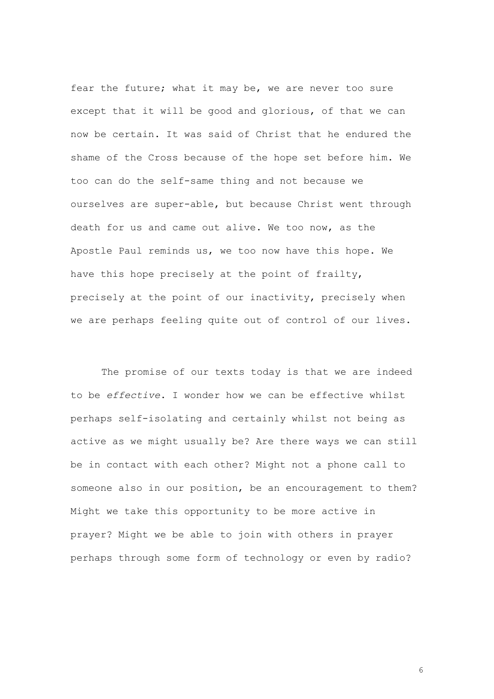fear the future; what it may be, we are never too sure except that it will be good and glorious, of that we can now be certain. It was said of Christ that he endured the shame of the Cross because of the hope set before him. We too can do the self-same thing and not because we ourselves are super-able, but because Christ went through death for us and came out alive. We too now, as the Apostle Paul reminds us, we too now have this hope. We have this hope precisely at the point of frailty, precisely at the point of our inactivity, precisely when we are perhaps feeling quite out of control of our lives.

The promise of our texts today is that we are indeed to be *effective*. I wonder how we can be effective whilst perhaps self-isolating and certainly whilst not being as active as we might usually be? Are there ways we can still be in contact with each other? Might not a phone call to someone also in our position, be an encouragement to them? Might we take this opportunity to be more active in prayer? Might we be able to join with others in prayer perhaps through some form of technology or even by radio?